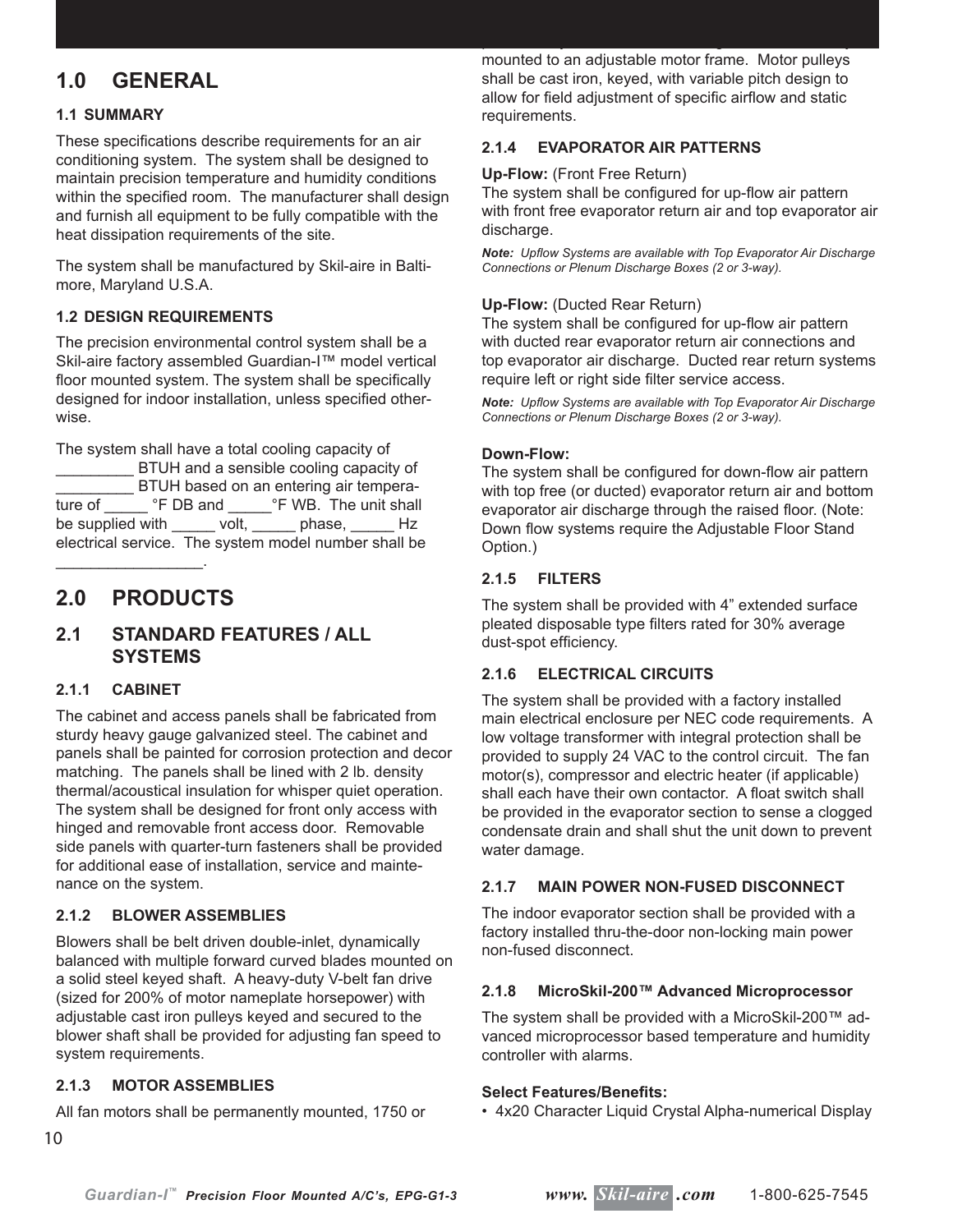# **1.0 GENERAL**

#### **1.1 SUMMARY**

These specifications describe requirements for an air conditioning system. The system shall be designed to maintain precision temperature and humidity conditions within the specified room. The manufacturer shall design and furnish all equipment to be fully compatible with the heat dissipation requirements of the site.

The system shall be manufactured by Skil-aire in Baltimore, Maryland U.S.A.

#### **1.2 DESIGN REQUIREMENTS**

The precision environmental control system shall be a Skil-aire factory assembled Guardian-I™ model vertical floor mounted system. The system shall be specifically designed for indoor installation, unless specified otherwise.

The system shall have a total cooling capacity of

\_\_\_\_\_\_\_\_\_ BTUH and a sensible cooling capacity of \_\_\_\_\_\_\_\_\_ BTUH based on an entering air temperature of \_\_\_\_\_\_\_ °F DB and \_\_\_\_\_\_ °F WB. The unit shall be supplied with volt, phase, Hz electrical service. The system model number shall be

# **2.0 PRODUCTS**

\_\_\_\_\_\_\_\_\_\_\_\_\_\_\_\_\_.

# **2.1 STANDARD FEATURES / ALL SYSTEMS**

#### **2.1.1 CABINET**

The cabinet and access panels shall be fabricated from sturdy heavy gauge galvanized steel. The cabinet and panels shall be painted for corrosion protection and decor matching. The panels shall be lined with 2 lb. density thermal/acoustical insulation for whisper quiet operation. The system shall be designed for front only access with hinged and removable front access door. Removable side panels with quarter-turn fasteners shall be provided for additional ease of installation, service and maintenance on the system.

#### **2.1.2 BLOWER ASSEMBLIES**

Blowers shall be belt driven double-inlet, dynamically balanced with multiple forward curved blades mounted on a solid steel keyed shaft. A heavy-duty V-belt fan drive (sized for 200% of motor nameplate horsepower) with adjustable cast iron pulleys keyed and secured to the blower shaft shall be provided for adjusting fan speed to system requirements.

#### **2.1.3 MOTOR ASSEMBLIES**

All fan motors shall be permanently mounted, 1750 or

mounted to an adjustable motor frame. Motor pulleys shall be cast iron, keyed, with variable pitch design to allow for field adjustment of specific airflow and static requirements.

permanently lubricated ball bearings and be resiliently

#### **2.1.4 EVAPORATOR AIR PATTERNS**

#### **Up-Flow:** (Front Free Return)

The system shall be configured for up-flow air pattern with front free evaporator return air and top evaporator air discharge.

*Note: Upfl ow Systems are available with Top Evaporator Air Discharge Connections or Plenum Discharge Boxes (2 or 3-way).*

#### **Up-Flow:** (Ducted Rear Return)

The system shall be configured for up-flow air pattern with ducted rear evaporator return air connections and top evaporator air discharge. Ducted rear return systems require left or right side filter service access.

*Note: Upfl ow Systems are available with Top Evaporator Air Discharge Connections or Plenum Discharge Boxes (2 or 3-way).*

#### **Down-Flow:**

The system shall be configured for down-flow air pattern with top free (or ducted) evaporator return air and bottom evaporator air discharge through the raised floor. (Note: Down flow systems require the Adjustable Floor Stand Option.)

#### **2.1.5 FILTERS**

The system shall be provided with 4" extended surface pleated disposable type filters rated for 30% average dust-spot efficiency.

#### **2.1.6 ELECTRICAL CIRCUITS**

The system shall be provided with a factory installed main electrical enclosure per NEC code requirements. A low voltage transformer with integral protection shall be provided to supply 24 VAC to the control circuit. The fan motor(s), compressor and electric heater (if applicable) shall each have their own contactor. A float switch shall be provided in the evaporator section to sense a clogged condensate drain and shall shut the unit down to prevent water damage.

#### **2.1.7 MAIN POWER NON-FUSED DISCONNECT**

The indoor evaporator section shall be provided with a factory installed thru-the-door non-locking main power non-fused disconnect.

#### **2.1.8 MicroSkil-200™ Advanced Microprocessor**

The system shall be provided with a MicroSkil-200™ advanced microprocessor based temperature and humidity controller with alarms.

#### **Select Features/Benefi ts:**

• 4x20 Character Liquid Crystal Alpha-numerical Display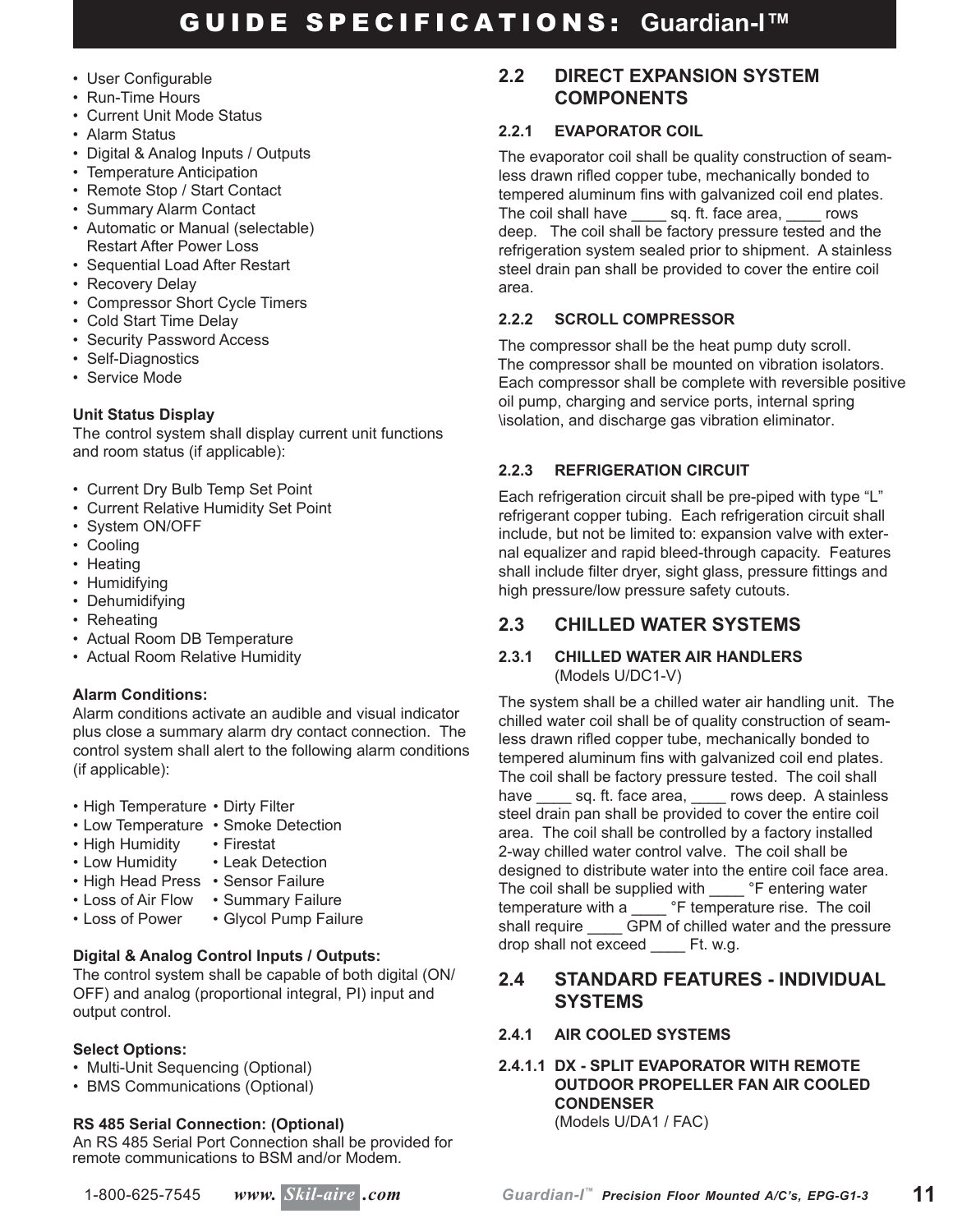- User Configurable
- Run-Time Hours
- Current Unit Mode Status
- Alarm Status
- Digital & Analog Inputs / Outputs
- Temperature Anticipation
- Remote Stop / Start Contact
- Summary Alarm Contact
- Automatic or Manual (selectable) Restart After Power Loss
- Sequential Load After Restart
- Recovery Delay
- Compressor Short Cycle Timers
- Cold Start Time Delay
- Security Password Access
- Self-Diagnostics
- Service Mode

# **Unit Status Display**

The control system shall display current unit functions and room status (if applicable):

- Current Dry Bulb Temp Set Point
- Current Relative Humidity Set Point
- System ON/OFF
- Cooling
- Heating
- Humidifying
- Dehumidifying
- Reheating
- Actual Room DB Temperature
- Actual Room Relative Humidity

# **Alarm Conditions:**

Alarm conditions activate an audible and visual indicator plus close a summary alarm dry contact connection. The control system shall alert to the following alarm conditions (if applicable):

- High Temperature Dirty Filter
- Low Temperature Smoke Detection
- High Humidity Firestat
- Low Humidity Leak Detection
- High Head Press Sensor Failure
- Loss of Air Flow Summary Failure<br>• Loss of Power Glycol Pump Failu
	- Glycol Pump Failure

# **Digital & Analog Control Inputs / Outputs:**

The control system shall be capable of both digital (ON/ OFF) and analog (proportional integral, PI) input and output control.

# **Select Options:**

- Multi-Unit Sequencing (Optional)
- BMS Communications (Optional)

# **RS 485 Serial Connection: (Optional)**

An RS 485 Serial Port Connection shall be provided for remote communications to BSM and/or Modem.

# tempered aluminum fins with galvanized coil end plates.

The coil shall have sq. ft. face area, rows deep. The coil shall be factory pressure tested and the refrigeration system sealed prior to shipment. A stainless steel drain pan shall be provided to cover the entire coil area.

The evaporator coil shall be quality construction of seamless drawn rifled copper tube, mechanically bonded to

**2.2 DIRECT EXPANSION SYSTEM** 

 **COMPONENTS**

**2.2.1 EVAPORATOR COIL**

# **2.2.2 SCROLL COMPRESSOR**

The compressor shall be the heat pump duty scroll. The compressor shall be mounted on vibration isolators. Each compressor shall be complete with reversible positive oil pump, charging and service ports, internal spring \isolation, and discharge gas vibration eliminator.

# **2.2.3 REFRIGERATION CIRCUIT**

Each refrigeration circuit shall be pre-piped with type "L" refrigerant copper tubing. Each refrigeration circuit shall include, but not be limited to: expansion valve with external equalizer and rapid bleed-through capacity. Features shall include filter dryer, sight glass, pressure fittings and high pressure/low pressure safety cutouts.

# **2.3 CHILLED WATER SYSTEMS**

#### **2.3.1 CHILLED WATER AIR HANDLERS** (Models U/DC1-V)

The system shall be a chilled water air handling unit. The chilled water coil shall be of quality construction of seamless drawn rifled copper tube, mechanically bonded to tempered aluminum fins with galvanized coil end plates. The coil shall be factory pressure tested. The coil shall have \_\_\_\_\_ sq. ft. face area, \_\_\_\_ rows deep. A stainless steel drain pan shall be provided to cover the entire coil area. The coil shall be controlled by a factory installed 2-way chilled water control valve. The coil shall be designed to distribute water into the entire coil face area. The coil shall be supplied with \_\_\_\_ °F entering water temperature with a <sup>ore</sup> temperature rise. The coil shall require GPM of chilled water and the pressure drop shall not exceed \_\_\_\_ Ft. w.g.

# **2.4 STANDARD FEATURES - INDIVIDUAL SYSTEMS**

# **2.4.1 AIR COOLED SYSTEMS**

#### **2.4.1.1 DX - SPLIT EVAPORATOR WITH REMOTE OUTDOOR PROPELLER FAN AIR COOLED CONDENSER** (Models U/DA1 / FAC)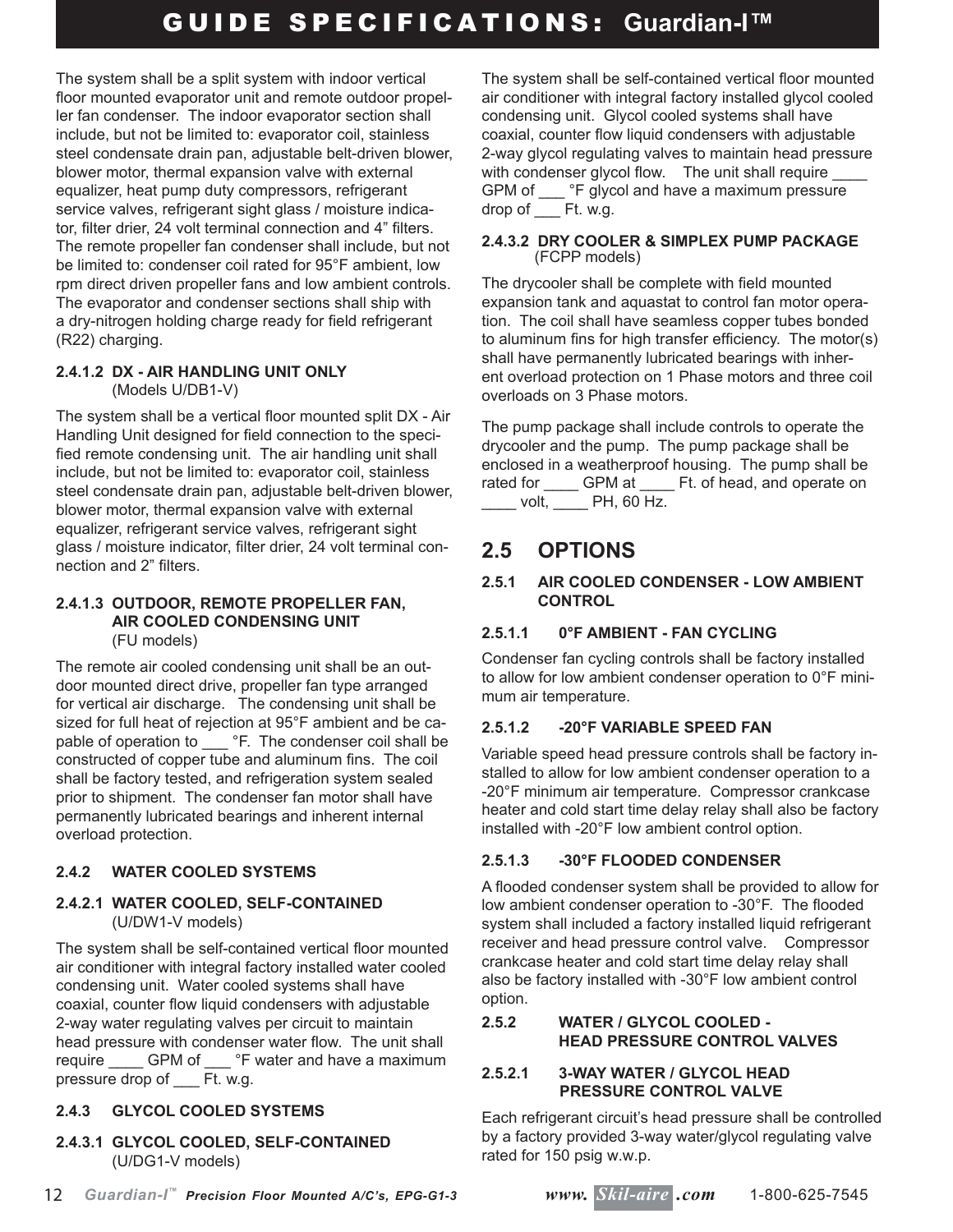The system shall be a split system with indoor vertical floor mounted evaporator unit and remote outdoor propeller fan condenser. The indoor evaporator section shall include, but not be limited to: evaporator coil, stainless steel condensate drain pan, adjustable belt-driven blower, blower motor, thermal expansion valve with external equalizer, heat pump duty compressors, refrigerant service valves, refrigerant sight glass / moisture indicator, filter drier, 24 volt terminal connection and 4" filters. The remote propeller fan condenser shall include, but not be limited to: condenser coil rated for 95°F ambient, low rpm direct driven propeller fans and low ambient controls. The evaporator and condenser sections shall ship with a dry-nitrogen holding charge ready for field refrigerant (R22) charging.

#### **2.4.1.2 DX - AIR HANDLING UNIT ONLY** (Models U/DB1-V)

The system shall be a vertical floor mounted split DX - Air Handling Unit designed for field connection to the specified remote condensing unit. The air handling unit shall include, but not be limited to: evaporator coil, stainless steel condensate drain pan, adjustable belt-driven blower, blower motor, thermal expansion valve with external equalizer, refrigerant service valves, refrigerant sight glass / moisture indicator, filter drier, 24 volt terminal connection and 2" filters.

#### **2.4.1.3 OUTDOOR, REMOTE PROPELLER FAN, AIR COOLED CONDENSING UNIT** (FU models)

The remote air cooled condensing unit shall be an outdoor mounted direct drive, propeller fan type arranged for vertical air discharge. The condensing unit shall be sized for full heat of rejection at 95°F ambient and be capable of operation to \_\_\_\_ °F. The condenser coil shall be constructed of copper tube and aluminum fins. The coil shall be factory tested, and refrigeration system sealed prior to shipment. The condenser fan motor shall have permanently lubricated bearings and inherent internal overload protection.

# **2.4.2 WATER COOLED SYSTEMS**

#### **2.4.2.1 WATER COOLED, SELF-CONTAINED** (U/DW1-V models)

The system shall be self-contained vertical floor mounted air conditioner with integral factory installed water cooled condensing unit. Water cooled systems shall have coaxial, counter flow liquid condensers with adjustable 2-way water regulating valves per circuit to maintain head pressure with condenser water flow. The unit shall require \_\_\_\_\_ GPM of \_\_\_ °F water and have a maximum pressure drop of \_\_\_ Ft. w.g.

# **2.4.3 GLYCOL COOLED SYSTEMS**

#### **2.4.3.1 GLYCOL COOLED, SELF-CONTAINED** (U/DG1-V models)

The system shall be self-contained vertical floor mounted air conditioner with integral factory installed glycol cooled condensing unit. Glycol cooled systems shall have coaxial, counter flow liquid condensers with adjustable 2-way glycol regulating valves to maintain head pressure with condenser glycol flow. The unit shall require GPM of \_\_\_ °F glycol and have a maximum pressure drop of Ft. w.g.

#### **2.4.3.2 DRY COOLER & SIMPLEX PUMP PACKAGE** (FCPP models)

The drycooler shall be complete with field mounted expansion tank and aquastat to control fan motor operation. The coil shall have seamless copper tubes bonded to aluminum fins for high transfer efficiency. The motor(s) shall have permanently lubricated bearings with inherent overload protection on 1 Phase motors and three coil overloads on 3 Phase motors.

The pump package shall include controls to operate the drycooler and the pump. The pump package shall be enclosed in a weatherproof housing. The pump shall be rated for \_\_\_\_ GPM at \_\_\_\_ Ft. of head, and operate on \_\_\_\_ volt, \_\_\_\_ PH, 60 Hz.

# **2.5 OPTIONS**

# **2.5.1 AIR COOLED CONDENSER - LOW AMBIENT CONTROL**

# **2.5.1.1 0°F AMBIENT - FAN CYCLING**

Condenser fan cycling controls shall be factory installed to allow for low ambient condenser operation to 0°F minimum air temperature.

# **2.5.1.2 -20°F VARIABLE SPEED FAN**

Variable speed head pressure controls shall be factory installed to allow for low ambient condenser operation to a -20°F minimum air temperature. Compressor crankcase heater and cold start time delay relay shall also be factory installed with -20°F low ambient control option.

# **2.5.1.3 -30°F FLOODED CONDENSER**

A flooded condenser system shall be provided to allow for low ambient condenser operation to -30°F. The flooded system shall included a factory installed liquid refrigerant receiver and head pressure control valve. Compressor crankcase heater and cold start time delay relay shall also be factory installed with -30°F low ambient control option.

# **2.5.2 WATER / GLYCOL COOLED - HEAD PRESSURE CONTROL VALVES**

#### **2.5.2.1 3-WAY WATER / GLYCOL HEAD PRESSURE CONTROL VALVE**

Each refrigerant circuit's head pressure shall be controlled by a factory provided 3-way water/glycol regulating valve rated for 150 psig w.w.p.